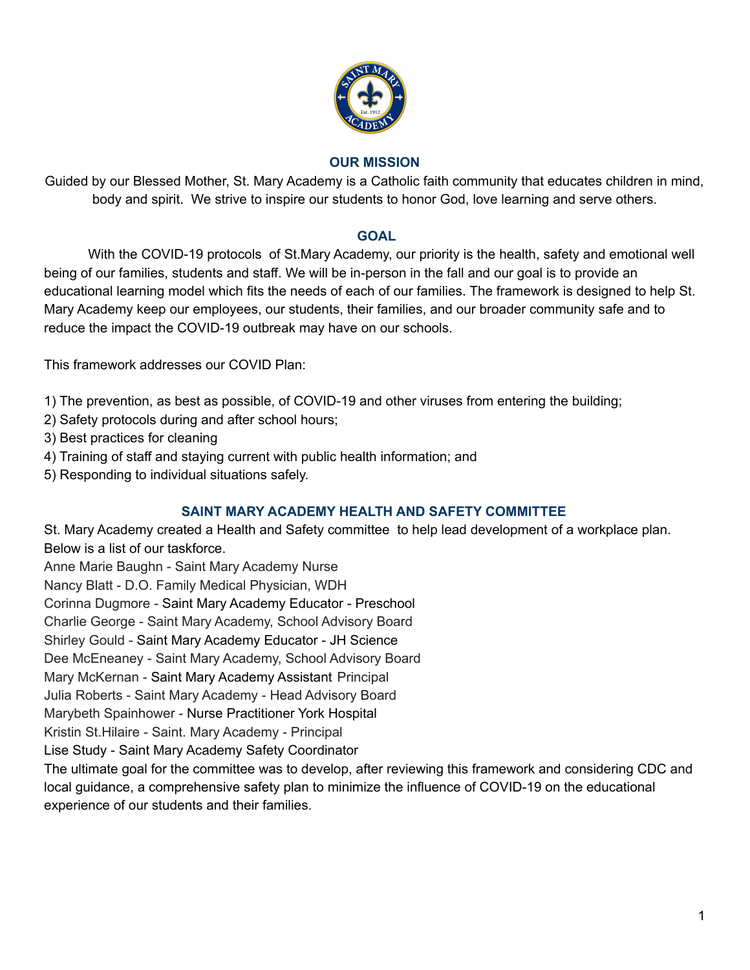

### **OUR MISSION**

Guided by our Blessed Mother, St. Mary Academy is a Catholic faith community that educates children in mind, body and spirit. We strive to inspire our students to honor God, love learning and serve others.

### **GOAL**

With the COVID-19 protocols of St.Mary Academy, our priority is the health, safety and emotional well being of our families, students and staff. We will be in-person in the fall and our goal is to provide an educational learning model which fits the needs of each of our families. The framework is designed to help St. Mary Academy keep our employees, our students, their families, and our broader community safe and to reduce the impact the COVID-19 outbreak may have on our schools.

This framework addresses our COVID Plan:

1) The prevention, as best as possible, of COVID-19 and other viruses from entering the building;

- 2) Safety protocols during and after school hours;
- 3) Best practices for cleaning
- 4) Training of staff and staying current with public health information; and
- 5) Responding to individual situations safely.

## **SAINT MARY ACADEMY HEALTH AND SAFETY COMMITTEE**

St. Mary Academy created a Health and Safety committee to help lead development of a workplace plan. Below is a list of our taskforce.

Anne Marie Baughn - Saint Mary Academy Nurse

Nancy Blatt - D.O. Family Medical Physician, WDH

Corinna Dugmore - Saint Mary Academy Educator - Preschool

Charlie George - Saint Mary Academy, School Advisory Board

Shirley Gould - Saint Mary Academy Educator - JH Science

Dee McEneaney - Saint Mary Academy, School Advisory Board

Mary McKernan - Saint Mary Academy Assistant Principal

Julia Roberts - Saint Mary Academy - Head Advisory Board

Marybeth Spainhower - Nurse Practitioner York Hospital

Kristin St.Hilaire - Saint. Mary Academy - Principal

Lise Study - Saint Mary Academy Safety Coordinator

The ultimate goal for the committee was to develop, after reviewing this framework and considering CDC and local guidance, a comprehensive safety plan to minimize the influence of COVID-19 on the educational experience of our students and their families.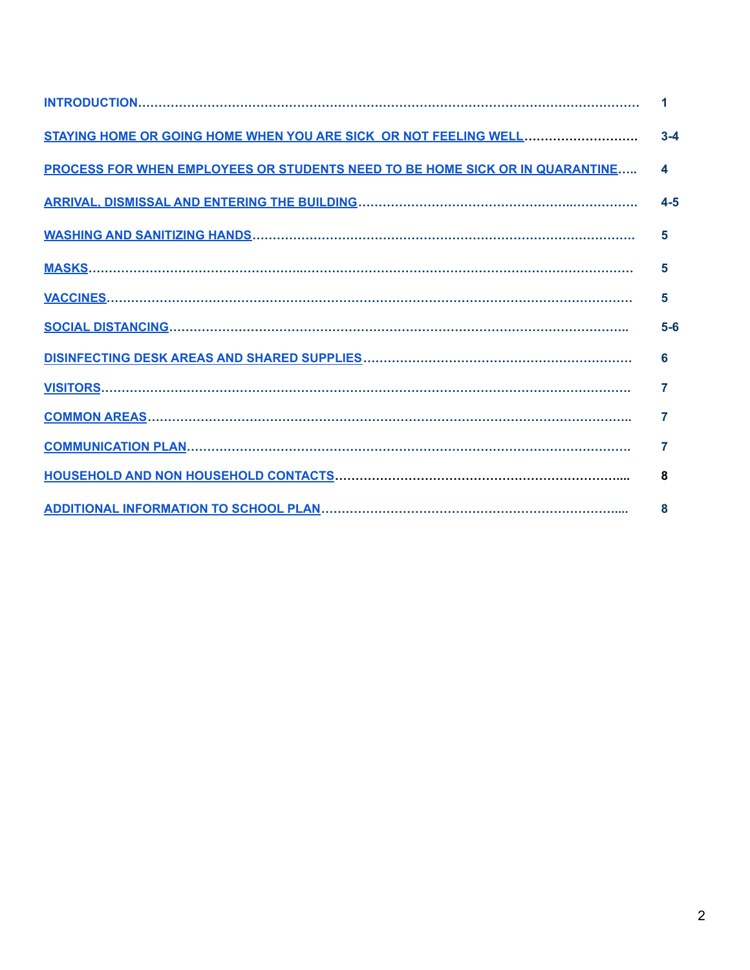|                                                                              | 1       |
|------------------------------------------------------------------------------|---------|
| STAYING HOME OR GOING HOME WHEN YOU ARE SICK OR NOT FEELING WELL             | $3 - 4$ |
| PROCESS FOR WHEN EMPLOYEES OR STUDENTS NEED TO BE HOME SICK OR IN QUARANTINE | 4       |
|                                                                              | $4-5$   |
|                                                                              | 5       |
|                                                                              | 5       |
|                                                                              | 5       |
|                                                                              | $5-6$   |
|                                                                              | 6       |
|                                                                              | 7       |
|                                                                              | 7       |
|                                                                              | 7       |
|                                                                              | 8       |
|                                                                              | 8       |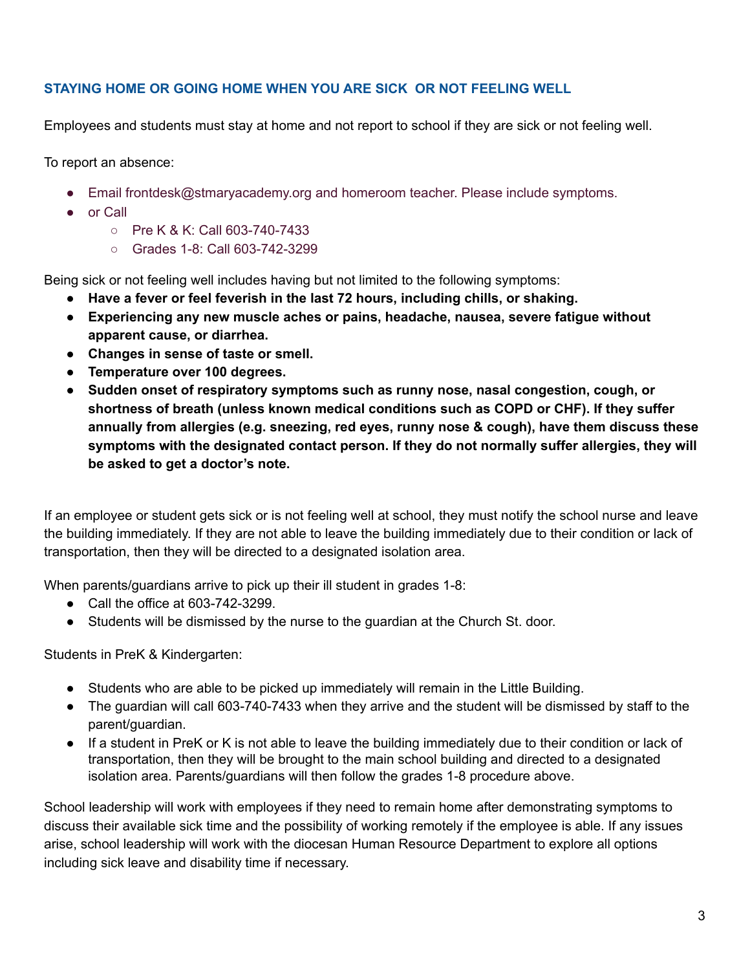## <span id="page-2-0"></span>**STAYING HOME OR GOING HOME WHEN YOU ARE SICK OR NOT FEELING WELL**

Employees and students must stay at home and not report to school if they are sick or not feeling well.

To report an absence:

- Email frontdesk@stmaryacademy.org and homeroom teacher. Please include symptoms.
- or Call
	- Pre K & K: Call 603-740-7433
	- Grades 1-8: Call 603-742-3299

Being sick or not feeling well includes having but not limited to the following symptoms:

- **● Have a fever or feel feverish in the last 72 hours, including chills, or shaking.**
- **● Experiencing any new muscle aches or pains, headache, nausea, severe fatigue without apparent cause, or diarrhea.**
- **● Changes in sense of taste or smell.**
- **● Temperature over 100 degrees.**
- **● Sudden onset of respiratory symptoms such as runny nose, nasal congestion, cough, or shortness of breath (unless known medical conditions such as COPD or CHF). If they suffer annually from allergies (e.g. sneezing, red eyes, runny nose & cough), have them discuss these symptoms with the designated contact person. If they do not normally suffer allergies, they will be asked to get a doctor's note.**

If an employee or student gets sick or is not feeling well at school, they must notify the school nurse and leave the building immediately. If they are not able to leave the building immediately due to their condition or lack of transportation, then they will be directed to a designated isolation area.

When parents/guardians arrive to pick up their ill student in grades 1-8:

- Call the office at 603-742-3299.
- Students will be dismissed by the nurse to the guardian at the Church St. door.

Students in PreK & Kindergarten:

- Students who are able to be picked up immediately will remain in the Little Building.
- The guardian will call 603-740-7433 when they arrive and the student will be dismissed by staff to the parent/guardian.
- If a student in PreK or K is not able to leave the building immediately due to their condition or lack of transportation, then they will be brought to the main school building and directed to a designated isolation area. Parents/guardians will then follow the grades 1-8 procedure above.

School leadership will work with employees if they need to remain home after demonstrating symptoms to discuss their available sick time and the possibility of working remotely if the employee is able. If any issues arise, school leadership will work with the diocesan Human Resource Department to explore all options including sick leave and disability time if necessary.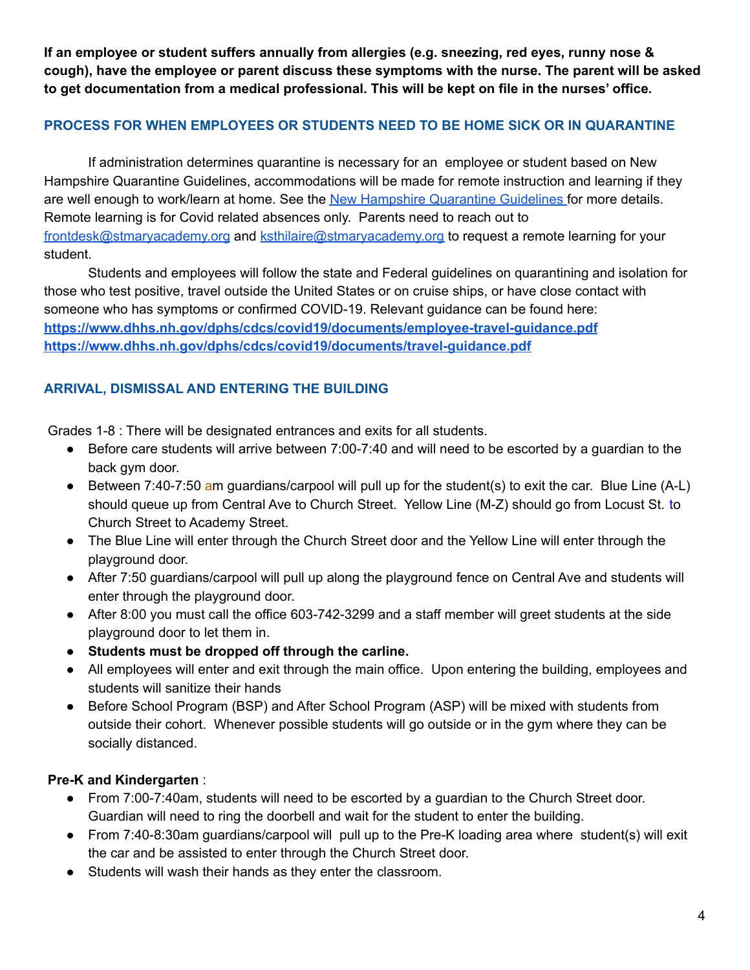**If an employee or student suffers annually from allergies (e.g. sneezing, red eyes, runny nose & cough), have the employee or parent discuss these symptoms with the nurse. The parent will be asked to get documentation from a medical professional. This will be kept on file in the nurses' office.**

## <span id="page-3-0"></span>**PROCESS FOR WHEN EMPLOYEES OR STUDENTS NEED TO BE HOME SICK OR IN QUARANTINE**

If administration determines quarantine is necessary for an employee or student based on New Hampshire Quarantine Guidelines, accommodations will be made for remote instruction and learning if they are well enough to work/learn at home. See the New Hampshire [Quarantine](https://www.dhhs.nh.gov/dphs/cdcs/covid19/documents/self-quarantine-covid.pdf) Guidelines for more details. Remote learning is for Covid related absences only. Parents need to reach out to [frontdesk@stmaryacademy.org](mailto:frontdesk@stmaryacademy.org) and [ksthilaire@stmaryacademy.org](mailto:ksthilaire@stmaryacademy.org) to request a remote learning for your student.

Students and employees will follow the state and Federal guidelines on quarantining and isolation for those who test positive, travel outside the United States or on cruise ships, or have close contact with someone who has symptoms or confirmed COVID-19. Relevant guidance can be found here: **<https://www.dhhs.nh.gov/dphs/cdcs/covid19/documents/employee-travel-guidance.pdf> <https://www.dhhs.nh.gov/dphs/cdcs/covid19/documents/travel-guidance.pdf>**

# <span id="page-3-1"></span>**ARRIVAL, DISMISSAL AND ENTERING THE BUILDING**

Grades 1-8 : There will be designated entrances and exits for all students.

- Before care students will arrive between 7:00-7:40 and will need to be escorted by a guardian to the back gym door.
- **•** Between 7:40-7:50 am guardians/carpool will pull up for the student(s) to exit the car. Blue Line  $(A-L)$ should queue up from Central Ave to Church Street. Yellow Line (M-Z) should go from Locust St. to Church Street to Academy Street.
- The Blue Line will enter through the Church Street door and the Yellow Line will enter through the playground door.
- After 7:50 guardians/carpool will pull up along the playground fence on Central Ave and students will enter through the playground door.
- After 8:00 you must call the office 603-742-3299 and a staff member will greet students at the side playground door to let them in.
- **Students must be dropped off through the carline.**
- All employees will enter and exit through the main office. Upon entering the building, employees and students will sanitize their hands
- Before School Program (BSP) and After School Program (ASP) will be mixed with students from outside their cohort. Whenever possible students will go outside or in the gym where they can be socially distanced.

## **Pre-K and Kindergarten** :

- From 7:00-7:40am, students will need to be escorted by a guardian to the Church Street door. Guardian will need to ring the doorbell and wait for the student to enter the building.
- From 7:40-8:30am guardians/carpool will pull up to the Pre-K loading area where student(s) will exit the car and be assisted to enter through the Church Street door.
- Students will wash their hands as they enter the classroom.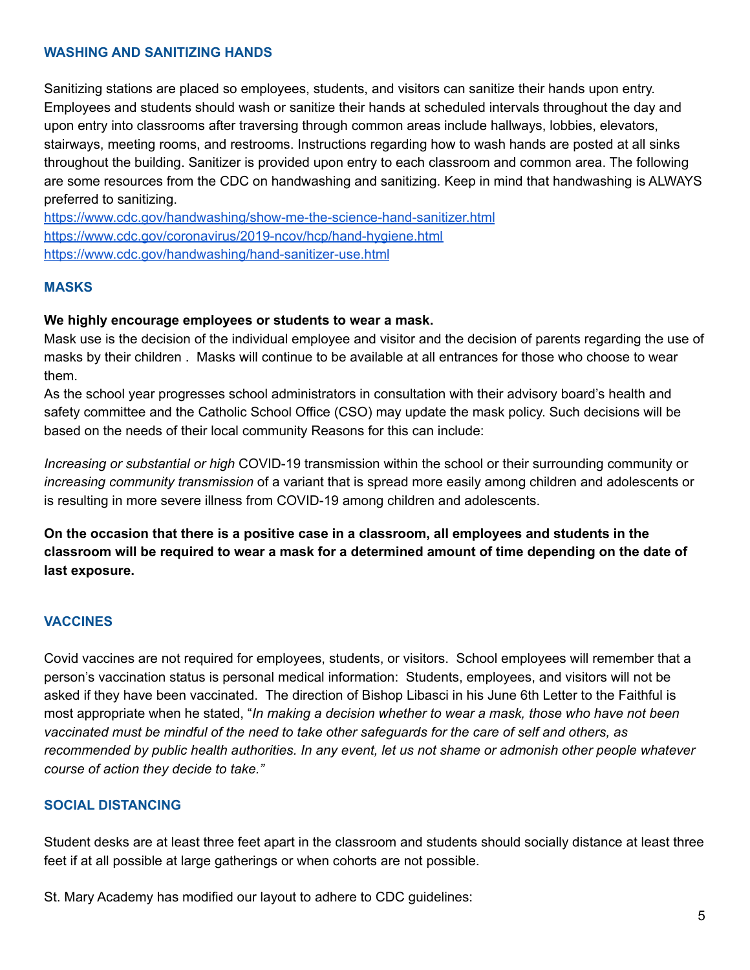### <span id="page-4-0"></span>**WASHING AND SANITIZING HANDS**

Sanitizing stations are placed so employees, students, and visitors can sanitize their hands upon entry. Employees and students should wash or sanitize their hands at scheduled intervals throughout the day and upon entry into classrooms after traversing through common areas include hallways, lobbies, elevators, stairways, meeting rooms, and restrooms. Instructions regarding how to wash hands are posted at all sinks throughout the building. Sanitizer is provided upon entry to each classroom and common area. The following are some resources from the CDC on handwashing and sanitizing. Keep in mind that handwashing is ALWAYS preferred to sanitizing.

<https://www.cdc.gov/handwashing/show-me-the-science-hand-sanitizer.html> <https://www.cdc.gov/coronavirus/2019-ncov/hcp/hand-hygiene.html> <https://www.cdc.gov/handwashing/hand-sanitizer-use.html>

#### <span id="page-4-1"></span>**MASKS**

#### **We highly encourage employees or students to wear a mask.**

Mask use is the decision of the individual employee and visitor and the decision of parents regarding the use of masks by their children . Masks will continue to be available at all entrances for those who choose to wear them.

As the school year progresses school administrators in consultation with their advisory board's health and safety committee and the Catholic School Office (CSO) may update the mask policy. Such decisions will be based on the needs of their local community Reasons for this can include:

*Increasing or substantial or high* COVID-19 transmission within the school or their surrounding community or *increasing community transmission* of a variant that is spread more easily among children and adolescents or is resulting in more severe illness from COVID-19 among children and adolescents.

**On the occasion that there is a positive case in a classroom, all employees and students in the** classroom will be required to wear a mask for a determined amount of time depending on the date of **last exposure.**

#### <span id="page-4-2"></span>**VACCINES**

Covid vaccines are not required for employees, students, or visitors. School employees will remember that a person's vaccination status is personal medical information: Students, employees, and visitors will not be asked if they have been vaccinated. The direction of Bishop Libasci in his June 6th Letter to the Faithful is most appropriate when he stated, "*In making a decision whether to wear a mask, those who have not been* vaccinated must be mindful of the need to take other safeguards for the care of self and others, as recommended by public health authorities. In any event, let us not shame or admonish other people whatever *course of action they decide to take."*

#### <span id="page-4-3"></span>**SOCIAL DISTANCING**

Student desks are at least three feet apart in the classroom and students should socially distance at least three feet if at all possible at large gatherings or when cohorts are not possible.

St. Mary Academy has modified our layout to adhere to CDC guidelines: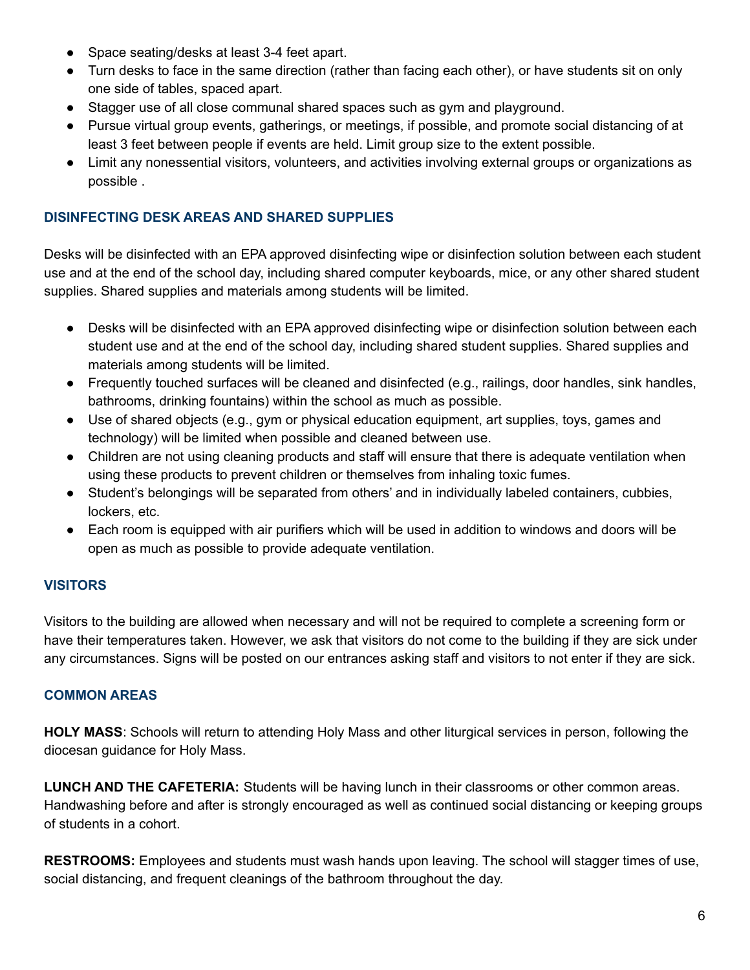- Space seating/desks at least 3-4 feet apart.
- Turn desks to face in the same direction (rather than facing each other), or have students sit on only one side of tables, spaced apart.
- Stagger use of all close communal shared spaces such as gym and playground.
- Pursue virtual group events, gatherings, or meetings, if possible, and promote social distancing of at least 3 feet between people if events are held. Limit group size to the extent possible.
- Limit any nonessential visitors, volunteers, and activities involving external groups or organizations as possible .

## <span id="page-5-0"></span>**DISINFECTING DESK AREAS AND SHARED SUPPLIES**

Desks will be disinfected with an EPA approved disinfecting wipe or disinfection solution between each student use and at the end of the school day, including shared computer keyboards, mice, or any other shared student supplies. Shared supplies and materials among students will be limited.

- Desks will be disinfected with an EPA approved disinfecting wipe or disinfection solution between each student use and at the end of the school day, including shared student supplies. Shared supplies and materials among students will be limited.
- Frequently touched surfaces will be cleaned and disinfected (e.g., railings, door handles, sink handles, bathrooms, drinking fountains) within the school as much as possible.
- Use of shared objects (e.g., gym or physical education equipment, art supplies, toys, games and technology) will be limited when possible and cleaned between use.
- Children are not using cleaning products and staff will ensure that there is adequate ventilation when using these products to prevent children or themselves from inhaling toxic fumes.
- Student's belongings will be separated from others' and in individually labeled containers, cubbies, lockers, etc.
- Each room is equipped with air purifiers which will be used in addition to windows and doors will be open as much as possible to provide adequate ventilation.

# <span id="page-5-1"></span>**VISITORS**

Visitors to the building are allowed when necessary and will not be required to complete a screening form or have their temperatures taken. However, we ask that visitors do not come to the building if they are sick under any circumstances. Signs will be posted on our entrances asking staff and visitors to not enter if they are sick.

# <span id="page-5-2"></span>**COMMON AREAS**

**HOLY MASS**: Schools will return to attending Holy Mass and other liturgical services in person, following the diocesan guidance for Holy Mass.

**LUNCH AND THE CAFETERIA:** Students will be having lunch in their classrooms or other common areas. Handwashing before and after is strongly encouraged as well as continued social distancing or keeping groups of students in a cohort.

**RESTROOMS:** Employees and students must wash hands upon leaving. The school will stagger times of use, social distancing, and frequent cleanings of the bathroom throughout the day.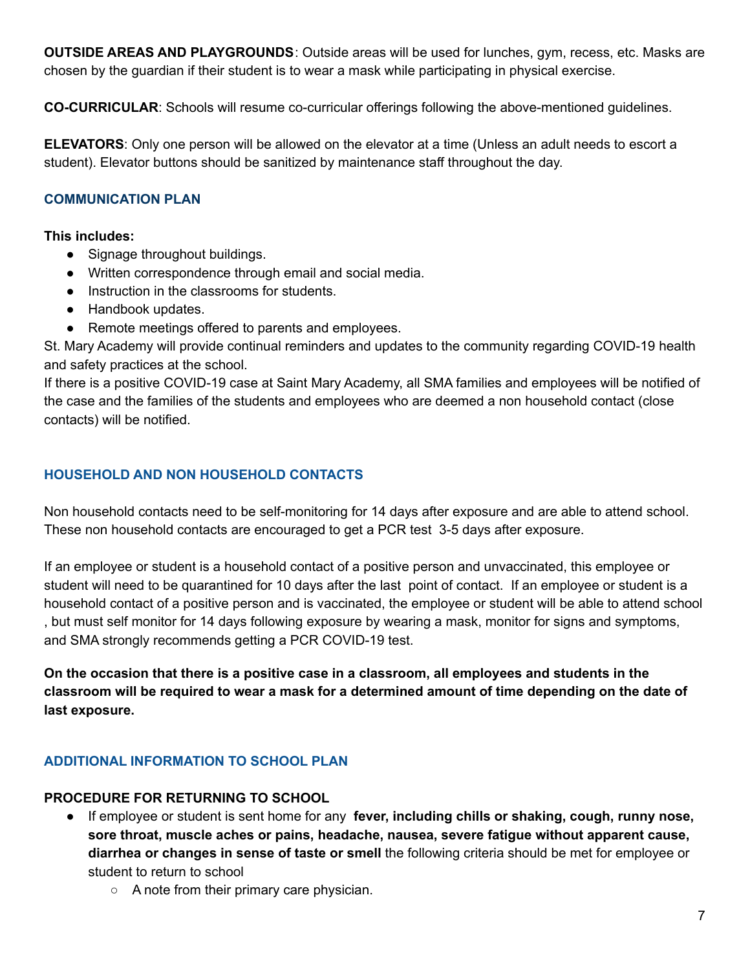**OUTSIDE AREAS AND PLAYGROUNDS**: Outside areas will be used for lunches, gym, recess, etc. Masks are chosen by the guardian if their student is to wear a mask while participating in physical exercise.

**CO-CURRICULAR**: Schools will resume co-curricular offerings following the above-mentioned guidelines.

**ELEVATORS**: Only one person will be allowed on the elevator at a time (Unless an adult needs to escort a student). Elevator buttons should be sanitized by maintenance staff throughout the day.

## <span id="page-6-0"></span>**COMMUNICATION PLAN**

### **This includes:**

- Signage throughout buildings.
- Written correspondence through email and social media.
- Instruction in the classrooms for students.
- Handbook updates.
- Remote meetings offered to parents and employees.

St. Mary Academy will provide continual reminders and updates to the community regarding COVID-19 health and safety practices at the school.

If there is a positive COVID-19 case at Saint Mary Academy, all SMA families and employees will be notified of the case and the families of the students and employees who are deemed a non household contact (close contacts) will be notified.

# <span id="page-6-1"></span>**HOUSEHOLD AND NON HOUSEHOLD CONTACTS**

Non household contacts need to be self-monitoring for 14 days after exposure and are able to attend school. These non household contacts are encouraged to get a PCR test 3-5 days after exposure.

If an employee or student is a household contact of a positive person and unvaccinated, this employee or student will need to be quarantined for 10 days after the last point of contact. If an employee or student is a household contact of a positive person and is vaccinated, the employee or student will be able to attend school , but must self monitor for 14 days following exposure by wearing a mask, monitor for signs and symptoms, and SMA strongly recommends getting a PCR COVID-19 test.

**On the occasion that there is a positive case in a classroom, all employees and students in the** classroom will be required to wear a mask for a determined amount of time depending on the date of **last exposure.**

# <span id="page-6-2"></span>**ADDITIONAL INFORMATION TO SCHOOL PLAN**

## **PROCEDURE FOR RETURNING TO SCHOOL**

- If employee or student is sent home for any **fever, including chills or shaking, cough, runny nose, sore throat, muscle aches or pains, headache, nausea, severe fatigue without apparent cause, diarrhea or changes in sense of taste or smell** the following criteria should be met for employee or student to return to school
	- A note from their primary care physician.